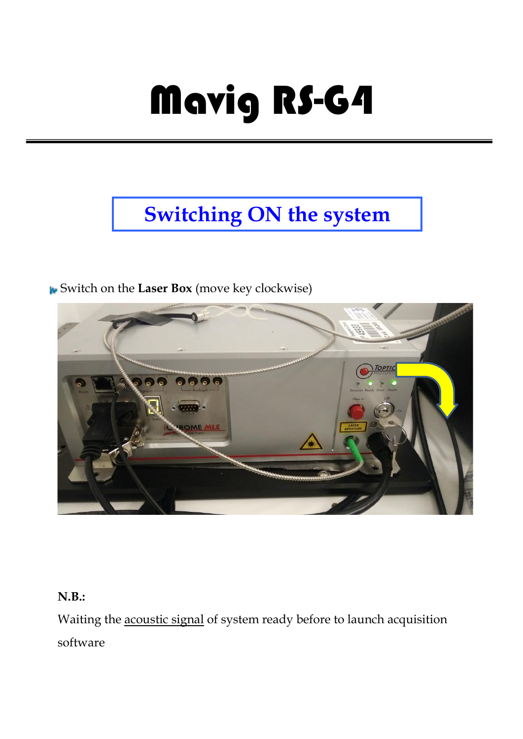# Mavig RS-G4

# **[Switching ON the system](file:///D:/DiBit/Progetti/Web2/Axioplan2/Axioplan2.htm%23Switching%2520on)**

Switch on the **Laser Box** (move key clockwise)



#### **N.B.:**

Waiting the acoustic signal of system ready before to launch acquisition software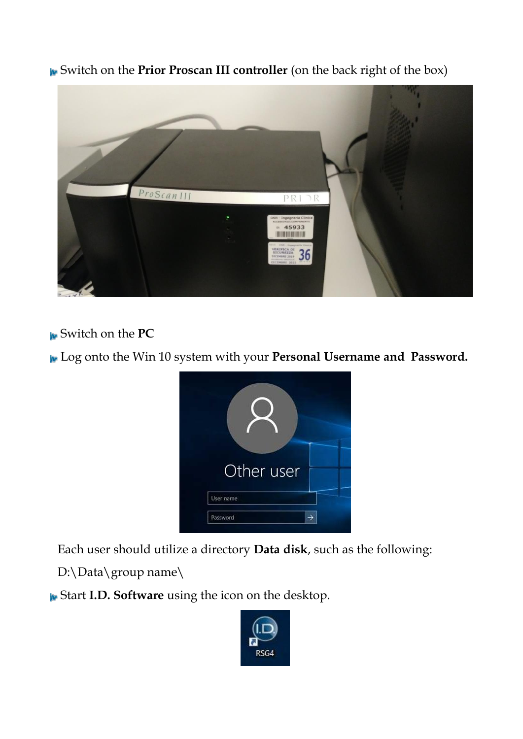Switch on the **Prior Proscan III controller** (on the back right of the box)



Switch on the **PC**

Log onto the Win 10 system with your **Personal Username and Password.**



Each user should utilize a directory **Data disk**, such as the following:

D:\Data\group name\

Start **I.D. Software** using the icon on the desktop.

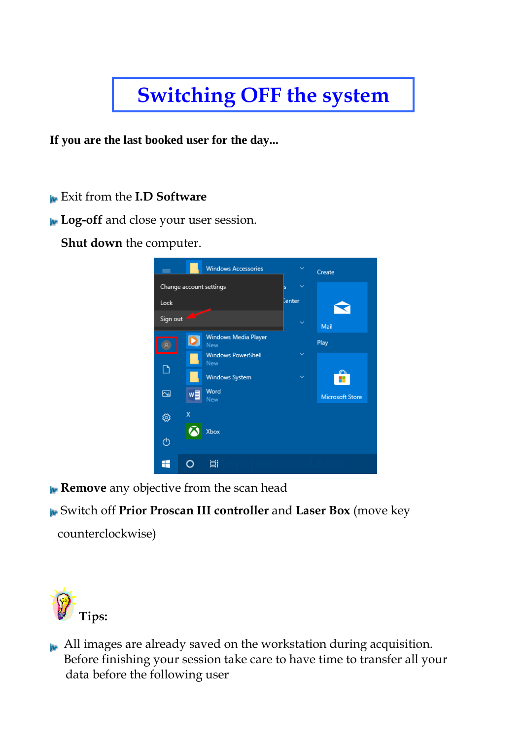## **[Switching OFF the system](file:///D:/DiBit/Progetti/Web2/Axioplan2/Axioplan2.htm%23Switching%2520on)**

**If you are the last booked user for the day...**

Exit from the **I.D Software**

**Log-off** and close your user session.

**Shut down** the computer.



**Remove** any objective from the scan head

Switch off **Prior Proscan III controller** and **Laser Box** (move key

counterclockwise)



All images are already saved on the workstation during acquisition. Before finishing your session take care to have time to transfer all your data before the following user